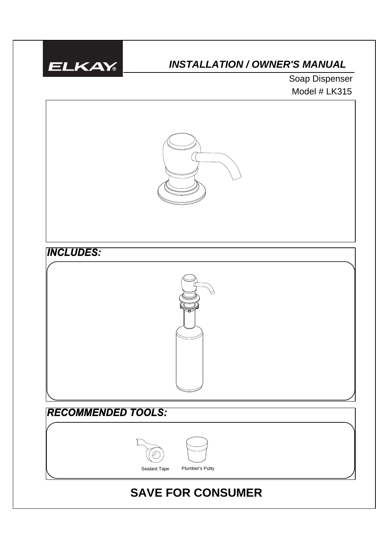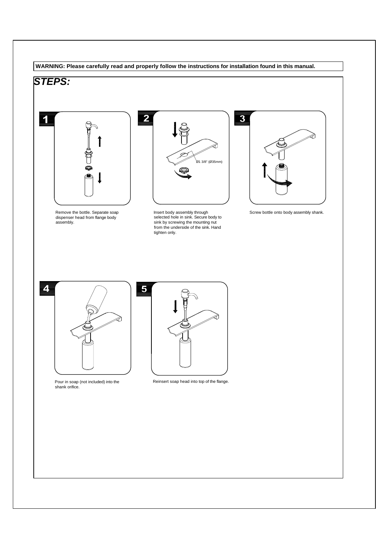### **WARNING: Please carefully read and properly follow the instructions for installation found in this manual.**

## *STEPS:*



Remove the bottle. Separate soap dispenser head from flange body assembly.



Insert body assembly through selected hole in sink. Secure body to sink by screwing the mounting nut from the underside of the sink. Hand tighten only.



Screw bottle onto body assembly shank.



Pour in soap (not included) into the shank orifice.



Reinsert soap head into top of the flange.